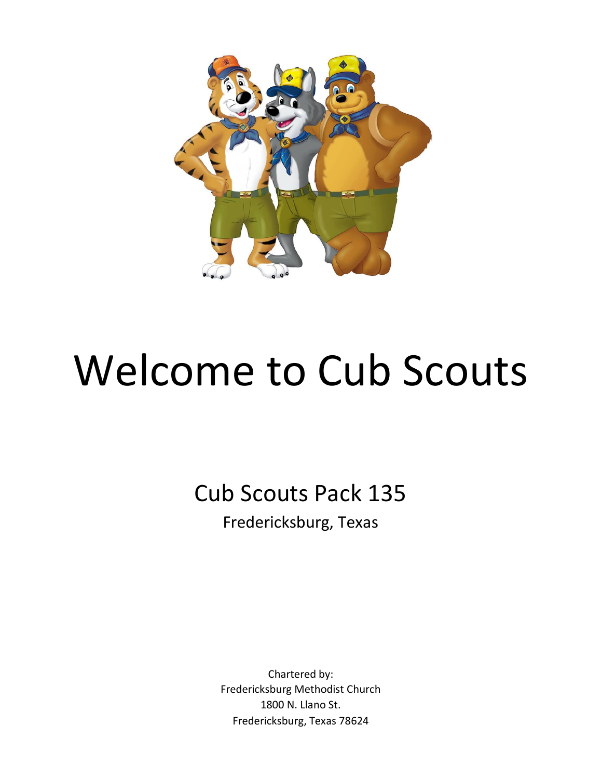

# Welcome to Cub Scouts

Cub Scouts Pack 135 Fredericksburg, Texas

> Chartered by: Fredericksburg Methodist Church 1800 N. Llano St. Fredericksburg, Texas 78624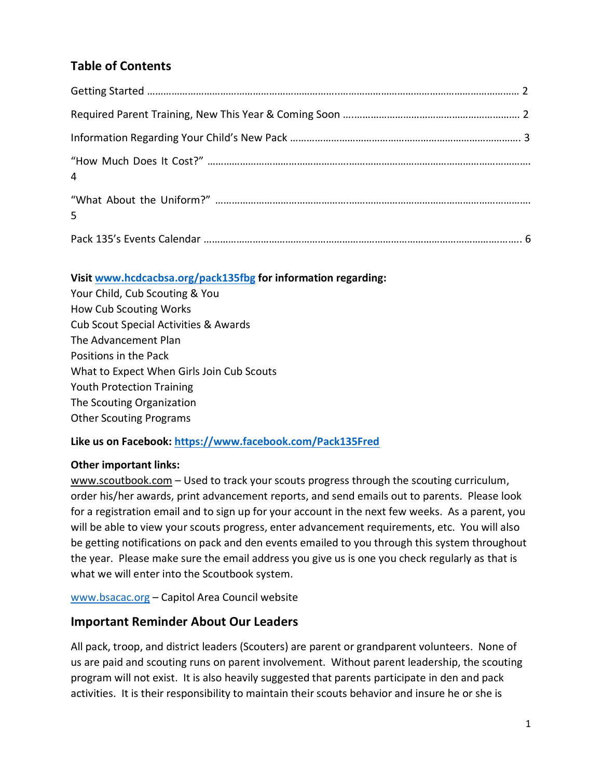# **Table of Contents**

| $\overline{4}$ |  |
|----------------|--|
| 5              |  |
|                |  |

#### **Visit [www.hcdcacbsa.org/](http://www.hcdcacbsa.org/)pack135fbg for information regarding:**

Your Child, Cub Scouting & You How Cub Scouting Works Cub Scout Special Activities & Awards The Advancement Plan Positions in the Pack What to Expect When Girls Join Cub Scouts Youth Protection Training The Scouting Organization Other Scouting Programs

## **Like us on Facebook:<https://www.facebook.com/Pack135Fred>**

#### **Other important links:**

[www.scoutbook.com](http://www.scoutbook.com/) - Used to track your scouts progress through the scouting curriculum, order his/her awards, print advancement reports, and send emails out to parents. Please look for a registration email and to sign up for your account in the next few weeks. As a parent, you will be able to view your scouts progress, enter advancement requirements, etc. You will also be getting notifications on pack and den events emailed to you through this system throughout the year. Please make sure the email address you give us is one you check regularly as that is what we will enter into the Scoutbook system.

[www.bsacac.org](http://www.bsacac.org/) – Capitol Area Council website

## **Important Reminder About Our Leaders**

All pack, troop, and district leaders (Scouters) are parent or grandparent volunteers. None of us are paid and scouting runs on parent involvement. Without parent leadership, the scouting program will not exist. It is also heavily suggested that parents participate in den and pack activities. It is their responsibility to maintain their scouts behavior and insure he or she is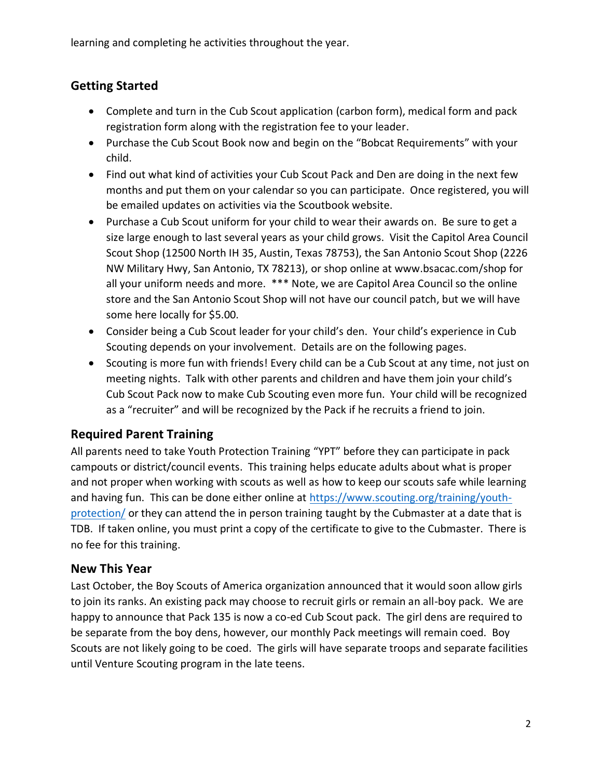learning and completing he activities throughout the year.

# **Getting Started**

- Complete and turn in the Cub Scout application (carbon form), medical form and pack registration form along with the registration fee to your leader.
- Purchase the Cub Scout Book now and begin on the "Bobcat Requirements" with your child.
- Find out what kind of activities your Cub Scout Pack and Den are doing in the next few months and put them on your calendar so you can participate. Once registered, you will be emailed updates on activities via the Scoutbook website.
- Purchase a Cub Scout uniform for your child to wear their awards on. Be sure to get a size large enough to last several years as your child grows. Visit the Capitol Area Council Scout Shop (12500 North IH 35, Austin, Texas 78753), the San Antonio Scout Shop (2226 NW Military Hwy, San Antonio, TX 78213), or shop online at [www.bsacac.com/](http://www.bsacac.com/)shop for all your uniform needs and more. \*\*\* Note, we are Capitol Area Council so the online store and the San Antonio Scout Shop will not have our council patch, but we will have some here locally for \$5.00.
- Consider being a Cub Scout leader for your child's den. Your child's experience in Cub Scouting depends on your involvement. Details are on the following pages.
- Scouting is more fun with friends! Every child can be a Cub Scout at any time, not just on meeting nights. Talk with other parents and children and have them join your child's Cub Scout Pack now to make Cub Scouting even more fun. Your child will be recognized as a "recruiter" and will be recognized by the Pack if he recruits a friend to join.

# **Required Parent Training**

All parents need to take Youth Protection Training "YPT" before they can participate in pack campouts or district/council events. This training helps educate adults about what is proper and not proper when working with scouts as well as how to keep our scouts safe while learning and having fun. This can be done either online at [https://www.scouting.org/training/youth](https://www.scouting.org/training/youth-protection/)[protection/](https://www.scouting.org/training/youth-protection/) or they can attend the in person training taught by the Cubmaster at a date that is TDB. If taken online, you must print a copy of the certificate to give to the Cubmaster. There is no fee for this training.

# **New This Year**

Last October, the Boy Scouts of America organization announced that it would soon allow girls to join its ranks. An existing pack may choose to recruit girls or remain an all-boy pack. We are happy to announce that Pack 135 is now a co-ed Cub Scout pack. The girl dens are required to be separate from the boy dens, however, our monthly Pack meetings will remain coed. Boy Scouts are not likely going to be coed. The girls will have separate troops and separate facilities until Venture Scouting program in the late teens.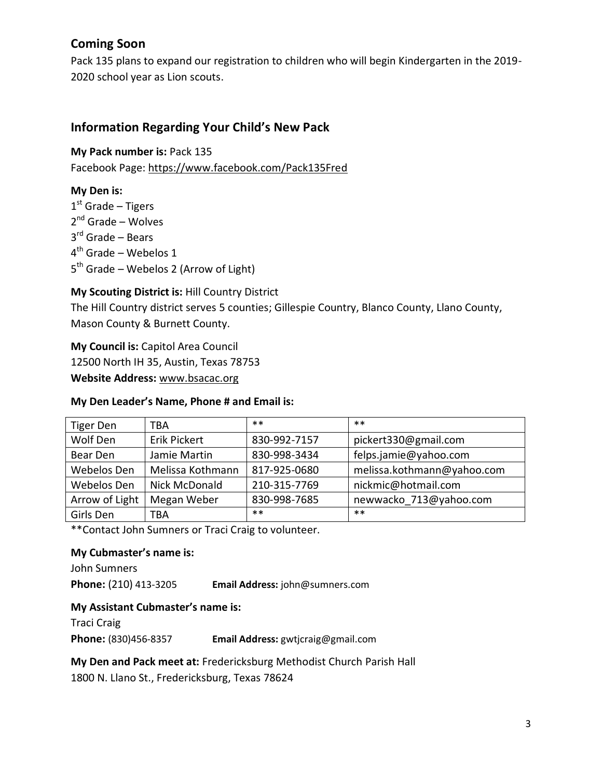# **Coming Soon**

Pack 135 plans to expand our registration to children who will begin Kindergarten in the 2019- 2020 school year as Lion scouts.

## **Information Regarding Your Child's New Pack**

**My Pack number is:** Pack 135

Facebook Page: https://www.facebook.com/Pack135Fred

#### **My Den is:**

1<sup>st</sup> Grade – Tigers 2<sup>nd</sup> Grade – Wolves 3<sup>rd</sup> Grade – Bears 4<sup>th</sup> Grade – Webelos 1 5<sup>th</sup> Grade – Webelos 2 (Arrow of Light)

#### **My Scouting District is:** Hill Country District

The Hill Country district serves 5 counties; Gillespie Country, Blanco County, Llano County, Mason County & Burnett County.

**My Council is:** Capitol Area Council 12500 North IH 35, Austin, Texas 78753 **Website Address:** [www.bsacac.org](http://www.bsacac.org/)

#### **My Den Leader's Name, Phone # and Email is:**

| Tiger Den      | TBA                 | $***$        | $***$                      |
|----------------|---------------------|--------------|----------------------------|
| Wolf Den       | <b>Erik Pickert</b> | 830-992-7157 | pickert330@gmail.com       |
| Bear Den       | Jamie Martin        | 830-998-3434 | felps.jamie@yahoo.com      |
| Webelos Den    | Melissa Kothmann    | 817-925-0680 | melissa.kothmann@yahoo.com |
| Webelos Den    | Nick McDonald       | 210-315-7769 | nickmic@hotmail.com        |
| Arrow of Light | Megan Weber         | 830-998-7685 | newwacko 713@yahoo.com     |
| Girls Den      | TBA                 | $***$        | $***$                      |

\*\*Contact John Sumners or Traci Craig to volunteer.

#### **My Cubmaster's name is:**

John Sumners **Phone:** (210) 413-3205 **Email Address:** [john@sumners.com](mailto:john@sumners.com)

#### **My Assistant Cubmaster's name is:**

Traci Craig **Phone:** (830)456-8357 **Email Address:** [gwtjcraig@gmail.com](mailto:gwtjcraig@gmail.com)

#### **My Den and Pack meet at:** Fredericksburg Methodist Church Parish Hall

1800 N. Llano St., Fredericksburg, Texas 78624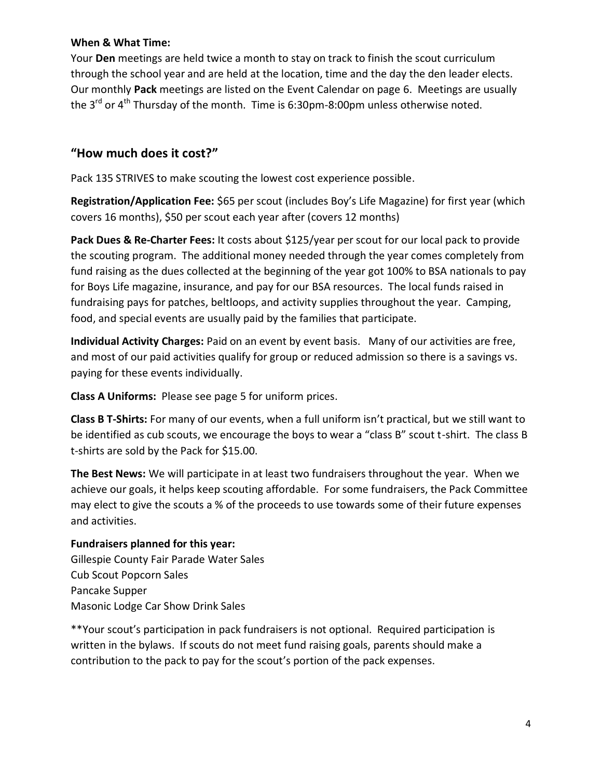#### **When & What Time:**

Your **Den** meetings are held twice a month to stay on track to finish the scout curriculum through the school year and are held at the location, time and the day the den leader elects. Our monthly **Pack** meetings are listed on the Event Calendar on page 6. Meetings are usually the  $3^{rd}$  or  $4^{th}$  Thursday of the month. Time is 6:30pm-8:00pm unless otherwise noted.

# **"How much does it cost?"**

Pack 135 STRIVES to make scouting the lowest cost experience possible.

**Registration/Application Fee:** \$65 per scout (includes Boy's Life Magazine) for first year (which covers 16 months), \$50 per scout each year after (covers 12 months)

**Pack Dues & Re-Charter Fees:** It costs about \$125/year per scout for our local pack to provide the scouting program. The additional money needed through the year comes completely from fund raising as the dues collected at the beginning of the year got 100% to BSA nationals to pay for Boys Life magazine, insurance, and pay for our BSA resources. The local funds raised in fundraising pays for patches, beltloops, and activity supplies throughout the year. Camping, food, and special events are usually paid by the families that participate.

**Individual Activity Charges:** Paid on an event by event basis. Many of our activities are free, and most of our paid activities qualify for group or reduced admission so there is a savings vs. paying for these events individually.

**Class A Uniforms:** Please see page 5 for uniform prices.

**Class B T-Shirts:** For many of our events, when a full uniform isn't practical, but we still want to be identified as cub scouts, we encourage the boys to wear a "class B" scout t-shirt. The class B t-shirts are sold by the Pack for \$15.00.

**The Best News:** We will participate in at least two fundraisers throughout the year. When we achieve our goals, it helps keep scouting affordable. For some fundraisers, the Pack Committee may elect to give the scouts a % of the proceeds to use towards some of their future expenses and activities.

#### **Fundraisers planned for this year:**

Gillespie County Fair Parade Water Sales Cub Scout Popcorn Sales Pancake Supper Masonic Lodge Car Show Drink Sales

\*\*Your scout's participation in pack fundraisers is not optional. Required participation is written in the bylaws. If scouts do not meet fund raising goals, parents should make a contribution to the pack to pay for the scout's portion of the pack expenses.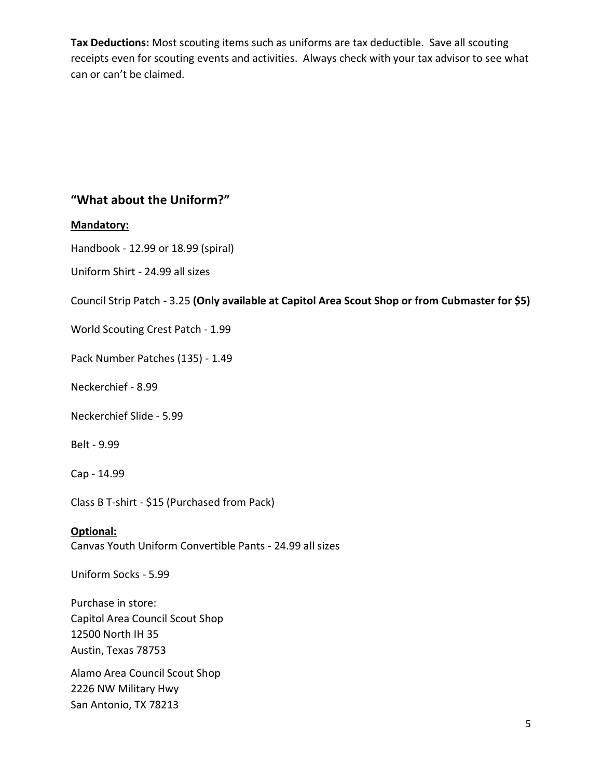**Tax Deductions:** Most scouting items such as uniforms are tax deductible. Save all scouting receipts even for scouting events and activities. Always check with your tax advisor to see what can or can't be claimed.

## **"What about the Uniform?"**

#### **Mandatory:**

Handbook - 12.99 or 18.99 (spiral)

Uniform Shirt - 24.99 all sizes

Council Strip Patch - 3.25 **(Only available at Capitol Area Scout Shop or from Cubmaster for \$5)**

World Scouting Crest Patch - 1.99

Pack Number Patches (135) - 1.49

Neckerchief - 8.99

Neckerchief Slide - 5.99

Belt - 9.99

Cap - 14.99

Class B T-shirt - \$15 (Purchased from Pack)

**Optional:** 

Canvas Youth Uniform Convertible Pants - 24.99 all sizes

Uniform Socks - 5.99

Purchase in store: Capitol Area Council Scout Shop 12500 North IH 35 Austin, Texas 78753

Alamo Area Council Scout Shop 2226 NW Military Hwy San Antonio, TX 78213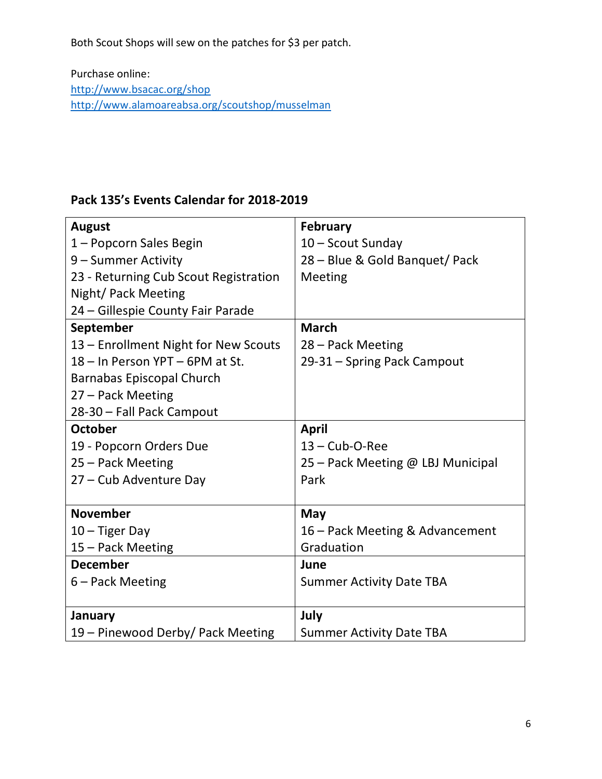Both Scout Shops will sew on the patches for \$3 per patch.

Purchase online: <http://www.bsacac.org/shop> <http://www.alamoareabsa.org/>scoutshop/musselman

# **Pack 135's Events Calendar for 2018-2019**

| <b>August</b>                         | <b>February</b>                   |
|---------------------------------------|-----------------------------------|
| 1 – Popcorn Sales Begin               | 10 - Scout Sunday                 |
| 9 - Summer Activity                   | 28 - Blue & Gold Banquet/ Pack    |
| 23 - Returning Cub Scout Registration | Meeting                           |
| Night/ Pack Meeting                   |                                   |
| 24 – Gillespie County Fair Parade     |                                   |
| September                             | <b>March</b>                      |
| 13 - Enrollment Night for New Scouts  | 28 – Pack Meeting                 |
| 18 - In Person YPT - 6PM at St.       | 29-31 - Spring Pack Campout       |
| <b>Barnabas Episcopal Church</b>      |                                   |
| 27 - Pack Meeting                     |                                   |
| 28-30 - Fall Pack Campout             |                                   |
| <b>October</b>                        | <b>April</b>                      |
| 19 - Popcorn Orders Due               | $13 - Cub-O-Ree$                  |
| 25 - Pack Meeting                     | 25 - Pack Meeting @ LBJ Municipal |
| 27 - Cub Adventure Day                | Park                              |
|                                       |                                   |
| <b>November</b>                       | May                               |
| $10 -$ Tiger Day                      | 16 – Pack Meeting & Advancement   |
| 15 - Pack Meeting                     | Graduation                        |
| <b>December</b>                       | June                              |
| 6 – Pack Meeting                      | <b>Summer Activity Date TBA</b>   |
|                                       |                                   |
| January                               | July                              |
| 19 - Pinewood Derby/ Pack Meeting     | <b>Summer Activity Date TBA</b>   |